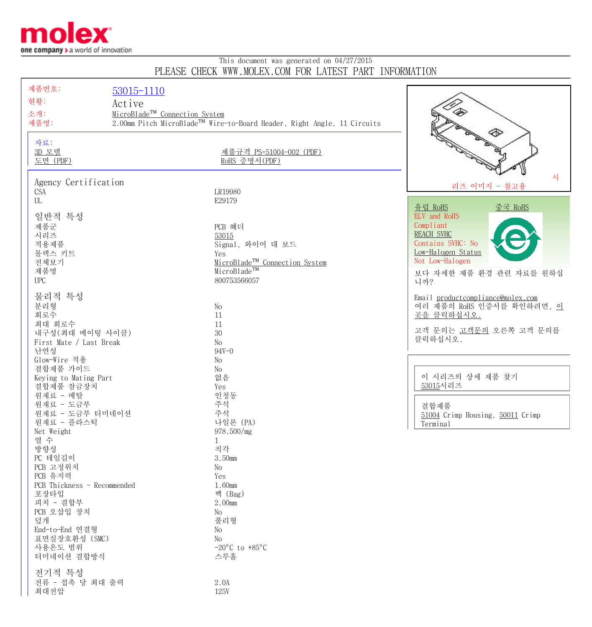

## This document was generated on 04/27/2015 PLEASE CHECK WWW.MOLEX.COM FOR LATEST PART INFORMATION

| 제품번호:                       | 53015-1110                    |                                                                         |                                   |
|-----------------------------|-------------------------------|-------------------------------------------------------------------------|-----------------------------------|
| 현황:                         |                               |                                                                         |                                   |
|                             | Active                        |                                                                         |                                   |
| 소개:                         | MicroBlade™ Connection System |                                                                         |                                   |
| 제품명:                        |                               | 2.00mm Pitch MicroBlade™ Wire-to-Board Header, Right Angle, 11 Circuits |                                   |
|                             |                               |                                                                         |                                   |
| 자료:                         |                               |                                                                         |                                   |
| 3D 모델                       |                               | 제품규격 PS-51004-002 (PDF)                                                 |                                   |
| 도면 (PDF)                    |                               | RoHS 증명서(PDF)                                                           |                                   |
|                             |                               | 시                                                                       |                                   |
| Agency Certification        |                               |                                                                         | 리즈 이미지 - 참고용                      |
| CSA                         |                               | LR19980                                                                 |                                   |
| $\ensuremath{\text{UL}}$    |                               | E29179                                                                  | 유럽 RoHS<br>중국 RoHS                |
| 일반적 특성                      |                               |                                                                         | ELV and RoHS                      |
| 제품군                         |                               | PCB 헤더                                                                  | Compliant                         |
| 시리즈                         |                               | 53015                                                                   | <b>REACH SVHC</b>                 |
| 적용제품                        |                               | Signal, 와이어 대 보드                                                        | Contains SVHC: No                 |
| 몰렉스 키트                      |                               | Yes                                                                     | Low-Halogen Status                |
| 전체보기                        |                               | MicroBlade <sup>TM</sup> Connection System                              | Not Low-Halogen                   |
| 제품명                         |                               | MicroBlade™                                                             | 보다 자세한 제품 환경 관련 자료를 원하십           |
| <b>UPC</b>                  |                               | 800753566057                                                            | 니까?                               |
|                             |                               |                                                                         |                                   |
| 물리적 특성                      |                               |                                                                         | Email productcompliance@molex.com |
| 분리형                         |                               | No                                                                      | 여러 제품의 RoHS 인증서를 확인하려면, <u>이</u>  |
| 회로수                         |                               | 11                                                                      | 곳을 클릭하십시오.                        |
| 최대 회로수                      |                               | 11                                                                      |                                   |
| 내구성 (최대 메이팅 사이클)            |                               | 30                                                                      | 고객 문의는 고객문의 오른쪽 고객 문의를            |
| First Mate / Last Break     |                               | No                                                                      | 클릭하십시오.                           |
| 난연성                         |                               | $94V - 0$                                                               |                                   |
| Glow-Wire 적용                |                               | No                                                                      |                                   |
| 결합제품 가이드                    |                               | No                                                                      |                                   |
| Keying to Mating Part       |                               | 없음                                                                      | 이 시리즈의 상세 제품 찾기                   |
| 결합제품 잠금장치                   |                               | Yes                                                                     | 53015시리즈                          |
| 원재료 - 메탈                    |                               | 인청동                                                                     |                                   |
| 원재료 - 도금부                   |                               | 주석                                                                      | 결합제품                              |
| 원재료 - 도금부 터미네이션             |                               | 주석                                                                      | 51004 Crimp Housing, 50011 Crimp  |
| 원재료 - 플라스틱                  |                               | 나일론 (PA)                                                                | Terminal                          |
| Net Weight<br>열 수           |                               | 978.500/mg                                                              |                                   |
| 방향성                         |                               | 1<br>직각                                                                 |                                   |
| PC 테일길이                     |                               | 3.50mm                                                                  |                                   |
| PCB 고정위치                    |                               | No                                                                      |                                   |
| PCB 유지력                     |                               | Yes                                                                     |                                   |
| PCB Thickness - Recommended |                               | 1.60mm                                                                  |                                   |
| 포장타입                        |                               | 백 (Bag)                                                                 |                                   |
| 피치 - 결합부                    |                               | 2.00mm                                                                  |                                   |
| PCB 오삽입 장치                  |                               | No                                                                      |                                   |
| 덮개                          |                               | 풀리형                                                                     |                                   |
| End-to-End 연결형              |                               | No                                                                      |                                   |
| 표면실장호환성 (SMC)               |                               | No                                                                      |                                   |
| 사용온도 범위                     |                               | $-20^{\circ}$ C to $+85^{\circ}$ C                                      |                                   |
| 터미네이션 결합방식                  |                               | 스루홀                                                                     |                                   |
|                             |                               |                                                                         |                                   |
| 전기적 특성                      |                               |                                                                         |                                   |
| 전류 - 접촉 당 최대 출력             |                               | 2.0A                                                                    |                                   |
| 최대전압                        |                               | 125V                                                                    |                                   |